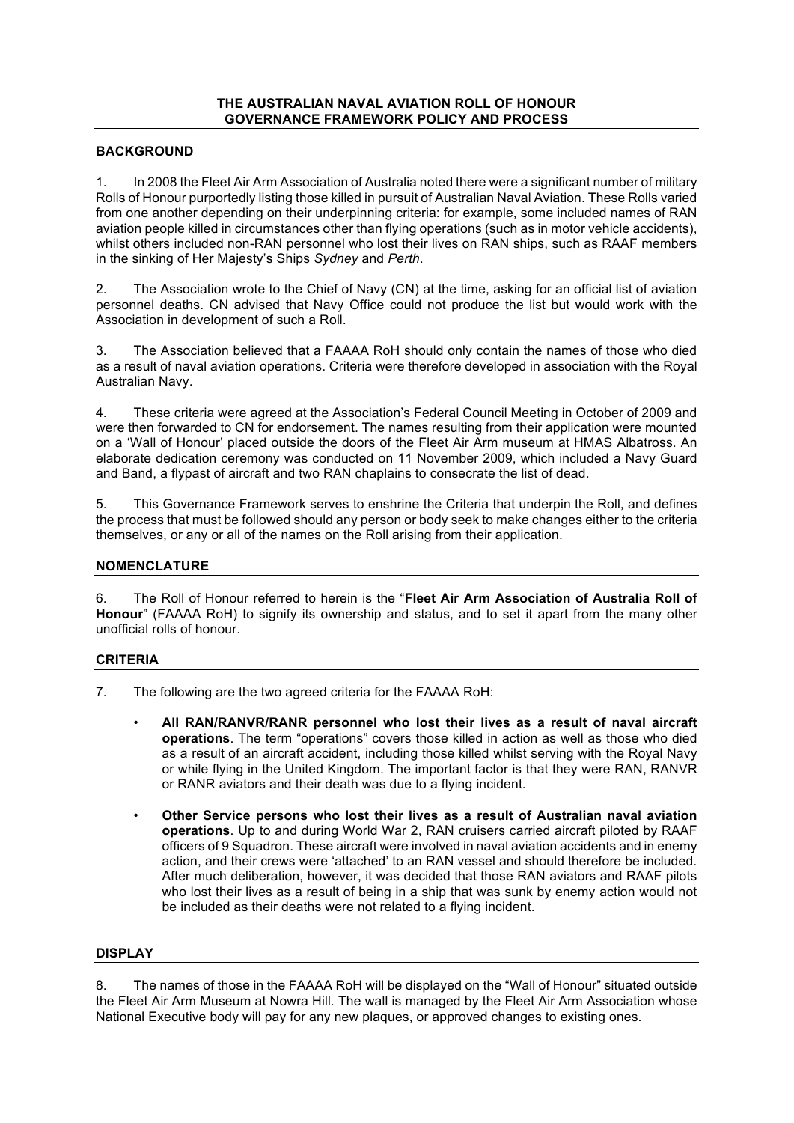### **THE AUSTRALIAN NAVAL AVIATION ROLL OF HONOUR GOVERNANCE FRAMEWORK POLICY AND PROCESS**

# **BACKGROUND**

1. In 2008 the Fleet Air Arm Association of Australia noted there were a significant number of military Rolls of Honour purportedly listing those killed in pursuit of Australian Naval Aviation. These Rolls varied from one another depending on their underpinning criteria: for example, some included names of RAN aviation people killed in circumstances other than flying operations (such as in motor vehicle accidents), whilst others included non-RAN personnel who lost their lives on RAN ships, such as RAAF members in the sinking of Her Majesty's Ships *Sydney* and *Perth*.

2. The Association wrote to the Chief of Navy (CN) at the time, asking for an official list of aviation personnel deaths. CN advised that Navy Office could not produce the list but would work with the Association in development of such a Roll.

3. The Association believed that a FAAAA RoH should only contain the names of those who died as a result of naval aviation operations. Criteria were therefore developed in association with the Royal Australian Navy.

4. These criteria were agreed at the Association's Federal Council Meeting in October of 2009 and were then forwarded to CN for endorsement. The names resulting from their application were mounted on a 'Wall of Honour' placed outside the doors of the Fleet Air Arm museum at HMAS Albatross. An elaborate dedication ceremony was conducted on 11 November 2009, which included a Navy Guard and Band, a flypast of aircraft and two RAN chaplains to consecrate the list of dead.

5. This Governance Framework serves to enshrine the Criteria that underpin the Roll, and defines the process that must be followed should any person or body seek to make changes either to the criteria themselves, or any or all of the names on the Roll arising from their application.

# **NOMENCLATURE**

6. The Roll of Honour referred to herein is the "**Fleet Air Arm Association of Australia Roll of Honour**" (FAAAA RoH) to signify its ownership and status, and to set it apart from the many other unofficial rolls of honour.

# **CRITERIA**

- 7. The following are the two agreed criteria for the FAAAA RoH:
	- **All RAN/RANVR/RANR personnel who lost their lives as a result of naval aircraft operations**. The term "operations" covers those killed in action as well as those who died as a result of an aircraft accident, including those killed whilst serving with the Royal Navy or while flying in the United Kingdom. The important factor is that they were RAN, RANVR or RANR aviators and their death was due to a flying incident.
	- **Other Service persons who lost their lives as a result of Australian naval aviation operations**. Up to and during World War 2, RAN cruisers carried aircraft piloted by RAAF officers of 9 Squadron. These aircraft were involved in naval aviation accidents and in enemy action, and their crews were 'attached' to an RAN vessel and should therefore be included. After much deliberation, however, it was decided that those RAN aviators and RAAF pilots who lost their lives as a result of being in a ship that was sunk by enemy action would not be included as their deaths were not related to a flying incident.

# **DISPLAY**

8. The names of those in the FAAAA RoH will be displayed on the "Wall of Honour" situated outside the Fleet Air Arm Museum at Nowra Hill. The wall is managed by the Fleet Air Arm Association whose National Executive body will pay for any new plaques, or approved changes to existing ones.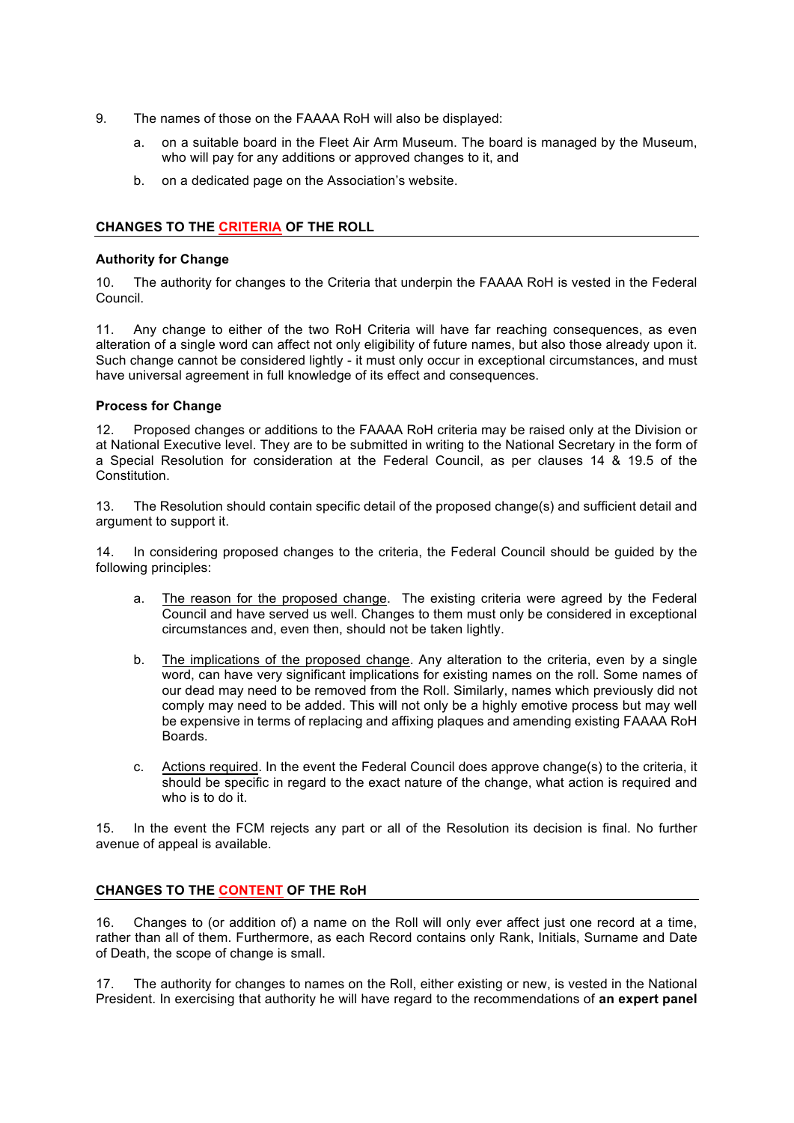- 9. The names of those on the FAAAA RoH will also be displayed:
	- a. on a suitable board in the Fleet Air Arm Museum. The board is managed by the Museum, who will pay for any additions or approved changes to it, and
	- b. on a dedicated page on the Association's website.

# **CHANGES TO THE CRITERIA OF THE ROLL**

### **Authority for Change**

10. The authority for changes to the Criteria that underpin the FAAAA RoH is vested in the Federal Council.

11. Any change to either of the two RoH Criteria will have far reaching consequences, as even alteration of a single word can affect not only eligibility of future names, but also those already upon it. Such change cannot be considered lightly - it must only occur in exceptional circumstances, and must have universal agreement in full knowledge of its effect and consequences.

#### **Process for Change**

12. Proposed changes or additions to the FAAAA RoH criteria may be raised only at the Division or at National Executive level. They are to be submitted in writing to the National Secretary in the form of a Special Resolution for consideration at the Federal Council, as per clauses 14 & 19.5 of the Constitution.

13. The Resolution should contain specific detail of the proposed change(s) and sufficient detail and argument to support it.

14. In considering proposed changes to the criteria, the Federal Council should be guided by the following principles:

- a. The reason for the proposed change. The existing criteria were agreed by the Federal Council and have served us well. Changes to them must only be considered in exceptional circumstances and, even then, should not be taken lightly.
- b. The implications of the proposed change. Any alteration to the criteria, even by a single word, can have very significant implications for existing names on the roll. Some names of our dead may need to be removed from the Roll. Similarly, names which previously did not comply may need to be added. This will not only be a highly emotive process but may well be expensive in terms of replacing and affixing plaques and amending existing FAAAA RoH Boards.
- c. Actions required. In the event the Federal Council does approve change(s) to the criteria, it should be specific in regard to the exact nature of the change, what action is required and who is to do it.

15. In the event the FCM rejects any part or all of the Resolution its decision is final. No further avenue of appeal is available.

# **CHANGES TO THE CONTENT OF THE RoH**

16. Changes to (or addition of) a name on the Roll will only ever affect just one record at a time, rather than all of them. Furthermore, as each Record contains only Rank, Initials, Surname and Date of Death, the scope of change is small.

17. The authority for changes to names on the Roll, either existing or new, is vested in the National President. In exercising that authority he will have regard to the recommendations of **an expert panel**